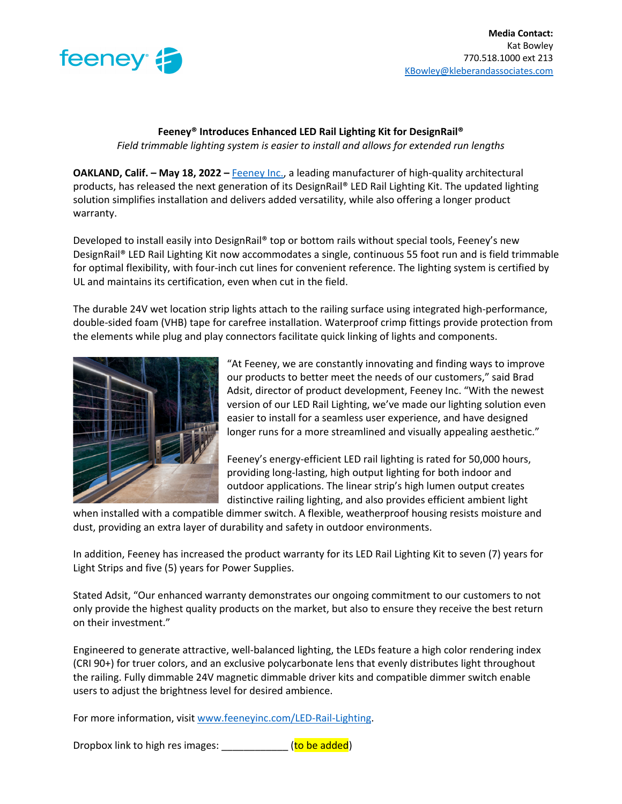

## **Feeney® Introduces Enhanced LED Rail Lighting Kit for DesignRail®** *Field trimmable lighting system is easier to install and allows for extended run lengths*

**OAKLAND, Calif. – May 18, 2022 –** Feeney Inc., a leading manufacturer of high-quality architectural products, has released the next generation of its DesignRail® LED Rail Lighting Kit. The updated lighting solution simplifies installation and delivers added versatility, while also offering a longer product warranty.

Developed to install easily into DesignRail® top or bottom rails without special tools, Feeney's new DesignRail® LED Rail Lighting Kit now accommodates a single, continuous 55 foot run and is field trimmable for optimal flexibility, with four-inch cut lines for convenient reference. The lighting system is certified by UL and maintains its certification, even when cut in the field.

The durable 24V wet location strip lights attach to the railing surface using integrated high-performance, double-sided foam (VHB) tape for carefree installation. Waterproof crimp fittings provide protection from the elements while plug and play connectors facilitate quick linking of lights and components.



"At Feeney, we are constantly innovating and finding ways to improve our products to better meet the needs of our customers," said Brad Adsit, director of product development, Feeney Inc. "With the newest version of our LED Rail Lighting, we've made our lighting solution even easier to install for a seamless user experience, and have designed longer runs for a more streamlined and visually appealing aesthetic."

Feeney's energy-efficient LED rail lighting is rated for 50,000 hours, providing long-lasting, high output lighting for both indoor and outdoor applications. The linear strip's high lumen output creates distinctive railing lighting, and also provides efficient ambient light

when installed with a compatible dimmer switch. A flexible, weatherproof housing resists moisture and dust, providing an extra layer of durability and safety in outdoor environments.

In addition, Feeney has increased the product warranty for its LED Rail Lighting Kit to seven (7) years for Light Strips and five (5) years for Power Supplies.

Stated Adsit, "Our enhanced warranty demonstrates our ongoing commitment to our customers to not only provide the highest quality products on the market, but also to ensure they receive the best return on their investment."

Engineered to generate attractive, well-balanced lighting, the LEDs feature a high color rendering index (CRI 90+) for truer colors, and an exclusive polycarbonate lens that evenly distributes light throughout the railing. Fully dimmable 24V magnetic dimmable driver kits and compatible dimmer switch enable users to adjust the brightness level for desired ambience.

For more information, visit www.feeneyinc.com/LED-Rail-Lighting.

Dropbox link to high res images: \_\_\_\_\_\_\_\_\_\_\_\_\_(to be added)